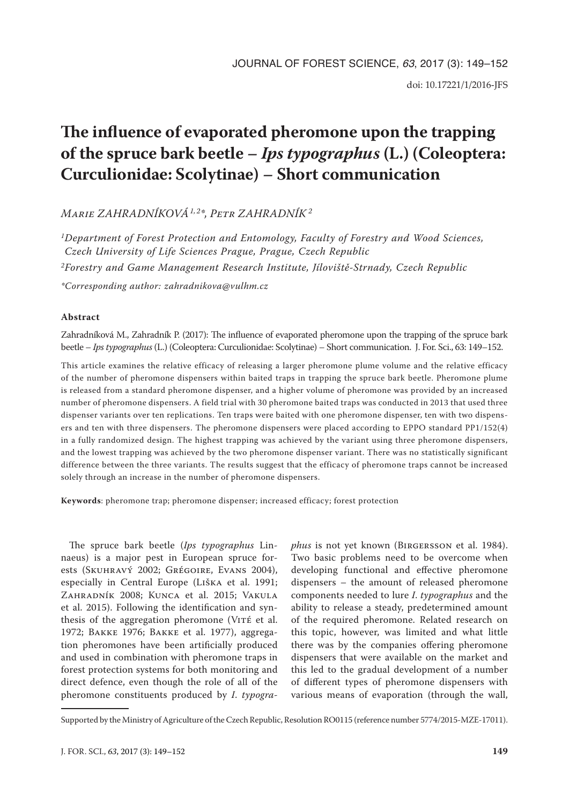# **The influence of evaporated pheromone upon the trapping of the spruce bark beetle –** *Ips typographus* **(L.) (Coleoptera: Curculionidae: Scolytinae) – Short communication**

*Marie ZAHRADNÍKOVÁ1, 2\*, Petr ZAHRADNÍK 2*

*1Department of Forest Protection and Entomology, Faculty of Forestry and Wood Sciences, Czech University of Life Sciences Prague, Prague, Czech Republic 2Forestry and Game Management Research Institute, Jíloviště-Strnady, Czech Republic \*Corresponding author: zahradnikova@vulhm.cz*

## **Abstract**

Zahradníková M., Zahradník P. (2017): The influence of evaporated pheromone upon the trapping of the spruce bark beetle – *Ips typographus* (L.) (Coleoptera: Curculionidae: Scolytinae) – Short communication. J. For. Sci., 63: 149–152.

This article examines the relative efficacy of releasing a larger pheromone plume volume and the relative efficacy of the number of pheromone dispensers within baited traps in trapping the spruce bark beetle. Pheromone plume is released from a standard pheromone dispenser, and a higher volume of pheromone was provided by an increased number of pheromone dispensers. A field trial with 30 pheromone baited traps was conducted in 2013 that used three dispenser variants over ten replications. Ten traps were baited with one pheromone dispenser, ten with two dispensers and ten with three dispensers. The pheromone dispensers were placed according to EPPO standard PP1/152(4) in a fully randomized design. The highest trapping was achieved by the variant using three pheromone dispensers, and the lowest trapping was achieved by the two pheromone dispenser variant. There was no statistically significant difference between the three variants. The results suggest that the efficacy of pheromone traps cannot be increased solely through an increase in the number of pheromone dispensers.

**Keywords**: pheromone trap; pheromone dispenser; increased efficacy; forest protection

The spruce bark beetle (*Ips typographus* Linnaeus) is a major pest in European spruce forests (Skuhravý 2002; Grégoire, Evans 2004), especially in Central Europe (Liška et al. 1991; Zahradník 2008; Kunca et al. 2015; Vakula et al. 2015). Following the identification and synthesis of the aggregation pheromone (VITÉ et al. 1972; Bakke 1976; Bakke et al. 1977), aggregation pheromones have been artificially produced and used in combination with pheromone traps in forest protection systems for both monitoring and direct defence, even though the role of all of the pheromone constituents produced by *I*. *typogra-* *phus* is not yet known (Birgersson et al. 1984). Two basic problems need to be overcome when developing functional and effective pheromone dispensers – the amount of released pheromone components needed to lure *I*. *typographus* and the ability to release a steady, predetermined amount of the required pheromone. Related research on this topic, however, was limited and what little there was by the companies offering pheromone dispensers that were available on the market and this led to the gradual development of a number of different types of pheromone dispensers with various means of evaporation (through the wall,

Supported by the Ministry of Agriculture of the Czech Republic, Resolution RO0115 (reference number 5774/2015-MZE-17011).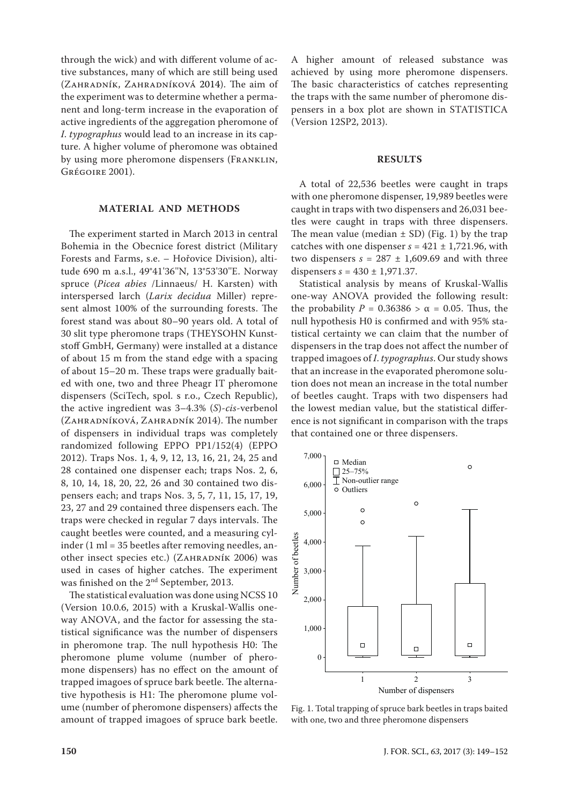through the wick) and with different volume of active substances, many of which are still being used (Zahradník, Zahradníková 2014). The aim of the experiment was to determine whether a permanent and long-term increase in the evaporation of active ingredients of the aggregation pheromone of *I*. *typographus* would lead to an increase in its capture. A higher volume of pheromone was obtained by using more pheromone dispensers (FRANKLIN, Grégoire 2001).

## **MATERIAL AND METHODS**

The experiment started in March 2013 in central Bohemia in the Obecnice forest district (Military Forests and Farms, s.e. – Hořovice Division), altitude 690 m a.s.l., 49°41'36''N, 13°53'30''E. Norway spruce (*Picea abies* /Linnaeus/ H. Karsten) with interspersed larch (*Larix decidua* Miller) represent almost 100% of the surrounding forests. The forest stand was about 80–90 years old. A total of 30 slit type pheromone traps (THEYSOHN Kunststoff GmbH, Germany) were installed at a distance of about 15 m from the stand edge with a spacing of about 15–20 m. These traps were gradually baited with one, two and three Pheagr IT pheromone dispensers (SciTech, spol. s r.o., Czech Republic), the active ingredient was 3–4.3% (*S*)-*cis*-verbenol (Zahradníková, Zahradník 2014). The number of dispensers in individual traps was completely randomized following EPPO PP1/152(4) (EPPO 2012). Traps Nos. 1, 4, 9, 12, 13, 16, 21, 24, 25 and 28 contained one dispenser each; traps Nos. 2, 6, 8, 10, 14, 18, 20, 22, 26 and 30 contained two dispensers each; and traps Nos. 3, 5, 7, 11, 15, 17, 19, 23, 27 and 29 contained three dispensers each. The traps were checked in regular 7 days intervals. The caught beetles were counted, and a measuring cylinder (1 ml = 35 beetles after removing needles, another insect species etc.) (ZAHRADNÍK 2006) was used in cases of higher catches. The experiment was finished on the 2nd September, 2013.

The statistical evaluation was done using NCSS 10 (Version 10.0.6, 2015) with a Kruskal-Wallis oneway ANOVA, and the factor for assessing the statistical significance was the number of dispensers in pheromone trap. The null hypothesis H0: The pheromone plume volume (number of pheromone dispensers) has no effect on the amount of trapped imagoes of spruce bark beetle. The alternative hypothesis is H1: The pheromone plume volume (number of pheromone dispensers) affects the amount of trapped imagoes of spruce bark beetle. A higher amount of released substance was achieved by using more pheromone dispensers. The basic characteristics of catches representing the traps with the same number of pheromone dispensers in a box plot are shown in STATISTICA (Version 12SP2, 2013).

#### **RESULTS**

A total of 22,536 beetles were caught in traps with one pheromone dispenser, 19,989 beetles were caught in traps with two dispensers and 26,031 beetles were caught in traps with three dispensers. The mean value (median  $\pm$  SD) (Fig. 1) by the trap catches with one dispenser  $s = 421 \pm 1,721.96$ , with two dispensers  $s = 287 \pm 1,609.69$  and with three dispensers  $s = 430 \pm 1,971.37$ .

Statistical analysis by means of Kruskal-Wallis one-way ANOVA provided the following result: the probability  $P = 0.36386 > \alpha = 0.05$ . Thus, the null hypothesis H0 is confirmed and with 95% statistical certainty we can claim that the number of dispensers in the trap does not affect the number of trapped imagoes of *I*. *typographus*. Our study shows that an increase in the evaporated pheromone solution does not mean an increase in the total number of beetles caught. Traps with two dispensers had the lowest median value, but the statistical difference is not significant in comparison with the traps that contained one or three dispensers.



Fig. 1. Total trapping of spruce bark beetles in traps baited with one, two and three pheromone dispensers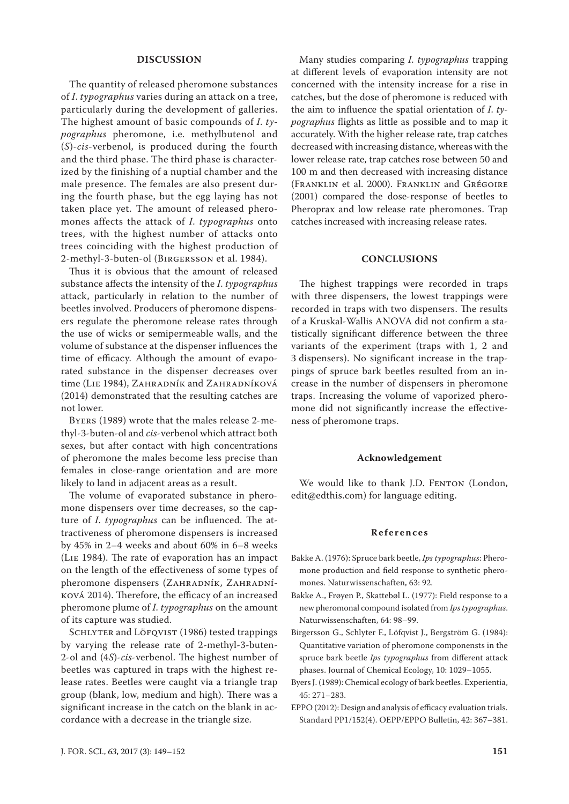#### **DISCUSSION**

The quantity of released pheromone substances of *I*. *typographus* varies during an attack on a tree, particularly during the development of galleries. The highest amount of basic compounds of *I*. *typographus* pheromone, i.e. methylbutenol and (*S*)-*cis*-verbenol, is produced during the fourth and the third phase. The third phase is characterized by the finishing of a nuptial chamber and the male presence. The females are also present during the fourth phase, but the egg laying has not taken place yet. The amount of released pheromones affects the attack of *I*. *typographus* onto trees, with the highest number of attacks onto trees coinciding with the highest production of 2-methyl-3-buten-ol (Birgersson et al. 1984).

Thus it is obvious that the amount of released substance affects the intensity of the *I*. *typographus* attack, particularly in relation to the number of beetles involved. Producers of pheromone dispensers regulate the pheromone release rates through the use of wicks or semipermeable walls, and the volume of substance at the dispenser influences the time of efficacy. Although the amount of evaporated substance in the dispenser decreases over time (LIE 1984), ZAHRADNÍK and ZAHRADNÍKOVÁ (2014) demonstrated that the resulting catches are not lower.

Byers (1989) wrote that the males release 2-methyl-3-buten-ol and *cis*-verbenol which attract both sexes, but after contact with high concentrations of pheromone the males become less precise than females in close-range orientation and are more likely to land in adjacent areas as a result.

The volume of evaporated substance in pheromone dispensers over time decreases, so the capture of *I*. *typographus* can be influenced. The attractiveness of pheromone dispensers is increased by 45% in 2–4 weeks and about 60% in 6–8 weeks (Lie 1984). The rate of evaporation has an impact on the length of the effectiveness of some types of pheromone dispensers (ZAHRADNÍK, ZAHRADNÍková 2014). Therefore, the efficacy of an increased pheromone plume of *I*. *typographus* on the amount of its capture was studied.

SCHLYTER and LÖFQVIST (1986) tested trappings by varying the release rate of 2-methyl-3-buten-2-ol and (4*S*)-*cis*-verbenol. The highest number of beetles was captured in traps with the highest release rates. Beetles were caught via a triangle trap group (blank, low, medium and high). There was a significant increase in the catch on the blank in accordance with a decrease in the triangle size.

Many studies comparing *I*. *typographus* trapping at different levels of evaporation intensity are not concerned with the intensity increase for a rise in catches, but the dose of pheromone is reduced with the aim to influence the spatial orientation of *I*. *typographus* flights as little as possible and to map it accurately. With the higher release rate, trap catches decreased with increasing distance, whereas with the lower release rate, trap catches rose between 50 and 100 m and then decreased with increasing distance (Franklin et al. 2000). Franklin and Grégoire (2001) compared the dose-response of beetles to Pheroprax and low release rate pheromones. Trap catches increased with increasing release rates.

## **CONCLUSIONS**

The highest trappings were recorded in traps with three dispensers, the lowest trappings were recorded in traps with two dispensers. The results of a Kruskal-Wallis ANOVA did not confirm a statistically significant difference between the three variants of the experiment (traps with 1, 2 and 3 dispensers). No significant increase in the trappings of spruce bark beetles resulted from an increase in the number of dispensers in pheromone traps. Increasing the volume of vaporized pheromone did not significantly increase the effectiveness of pheromone traps.

#### **Acknowledgement**

We would like to thank J.D. FENTON (London, edit@edthis.com) for language editing.

#### **References**

- Bakke A. (1976): Spruce bark beetle, *Ips typographus*: Pheromone production and field response to synthetic pheromones. Naturwissenschaften, 63: 92.
- Bakke A., Frøyen P., Skattebøl L. (1977): Field response to a new pheromonal compound isolated from *Ips typographus*. Naturwissenschaften, 64: 98–99.
- Birgersson G., Schlyter F., Löfqvist J., Bergström G. (1984): Quantitative variation of pheromone componensts in the spruce bark beetle *Ips typographus* from different attack phases. Journal of Chemical Ecology, 10: 1029–1055.
- Byers J. (1989): Chemical ecology of bark beetles. Experientia, 45: 271–283.
- EPPO (2012): Design and analysis of efficacy evaluation trials. Standard PP1/152(4). OEPP/EPPO Bulletin, 42: 367–381.